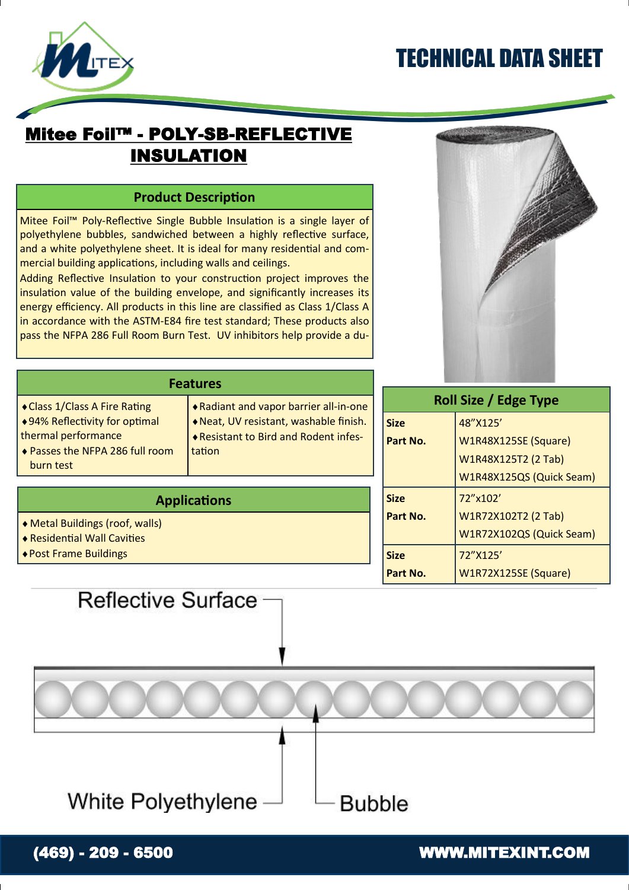# TECHNICAL DATA SHEET



### Mitee Foil™ - POLY-SB-REFLECTIVE INSULATION

### **Product Description**

Mitee Foil™ Poly-Reflective Single Bubble Insulation is a single layer of polyethylene bubbles, sandwiched between a highly reflective surface, and a white polyethylene sheet. It is ideal for many residential and commercial building applications, including walls and ceilings.

Adding Reflective Insulation to your construction project improves the insulation value of the building envelope, and significantly increases its energy efficiency. All products in this line are classified as Class 1/Class A in accordance with the ASTM-E84 fire test standard; These products also pass the NFPA 286 Full Room Burn Test. UV inhibitors help provide a du-



| <b>Features</b>                                                                                                                       |                                                                                                                                   |                     |
|---------------------------------------------------------------------------------------------------------------------------------------|-----------------------------------------------------------------------------------------------------------------------------------|---------------------|
| ◆ Class 1/Class A Fire Rating<br>◆94% Reflectivity for optimal<br>thermal performance<br>◆ Passes the NFPA 286 full room<br>burn test | ◆ Radiant and vapor barrier all-in-one<br>Neat, UV resistant, washable finish.<br>◆ Resistant to Bird and Rodent infes-<br>tation | <b>Size</b><br>Part |
|                                                                                                                                       |                                                                                                                                   |                     |

#### **Applications**

- Metal Buildings (roof, walls)
- Residential Wall Cavities
- Post Frame Buildings

#### **Part No.**  48"X125' W1R48X125SE (Square) W1R48X125T2 (2 Tab) W1R48X125QS (Quick Seam) **Size Part No.**  72"x102' W1R72X102T2 (2 Tab) W1R72X102QS (Quick Seam) **Size Part No.**  72"X125' W1R72X125SE (Square)

**Roll Size / Edge Type**

## Reflective Surface

White Polyethylene